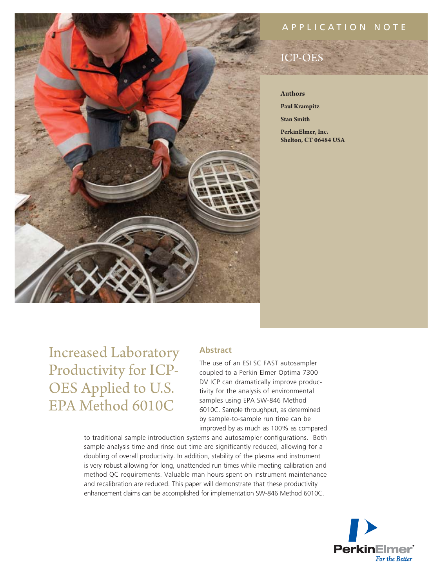

# application N ote

# ICP-OES

#### **Authors**

**Paul Krampitz**

**Stan Smith**

**PerkinElmer, Inc. Shelton, CT 06484 USA**

Increased Laboratory Productivity for ICP-OES Applied to U.S. EPA Method 6010C

## **Abstract**

The use of an ESI SC FAST autosampler coupled to a Perkin Elmer Optima 7300 DV ICP can dramatically improve productivity for the analysis of environmental samples using EPA SW-846 Method 6010C. Sample throughput, as determined by sample-to-sample run time can be improved by as much as 100% as compared

to traditional sample introduction systems and autosampler configurations. Both sample analysis time and rinse out time are significantly reduced, allowing for a doubling of overall productivity. In addition, stability of the plasma and instrument is very robust allowing for long, unattended run times while meeting calibration and method QC requirements. Valuable man hours spent on instrument maintenance and recalibration are reduced. This paper will demonstrate that these productivity enhancement claims can be accomplished for implementation SW-846 Method 6010C.

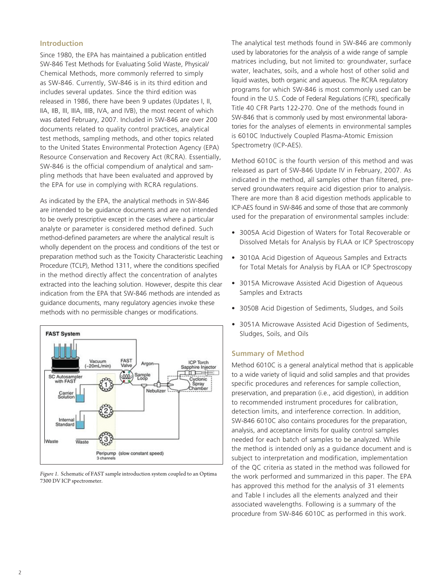#### **Introduction**

Since 1980, the EPA has maintained a publication entitled SW-846 Test Methods for Evaluating Solid Waste, Physical/ Chemical Methods, more commonly referred to simply as SW-846. Currently, SW-846 is in its third edition and includes several updates. Since the third edition was released in 1986, there have been 9 updates (Updates I, II, IIA, IIB, III, IIIA, IIIB, IVA, and IVB), the most recent of which was dated February, 2007. Included in SW-846 are over 200 documents related to quality control practices, analytical test methods, sampling methods, and other topics related to the United States Environmental Protection Agency (EPA) Resource Conservation and Recovery Act (RCRA). Essentially, SW-846 is the official compendium of analytical and sampling methods that have been evaluated and approved by the EPA for use in complying with RCRA regulations.

As indicated by the EPA, the analytical methods in SW-846 are intended to be guidance documents and are not intended to be overly prescriptive except in the cases where a particular analyte or parameter is considered method defined. Such method-defined parameters are where the analytical result is wholly dependent on the process and conditions of the test or preparation method such as the Toxicity Characteristic Leaching Procedure (TCLP), Method 1311, where the conditions specified in the method directly affect the concentration of analytes extracted into the leaching solution. However, despite this clear indication from the EPA that SW-846 methods are intended as guidance documents, many regulatory agencies invoke these methods with no permissible changes or modifications.



*Figure 1.* Schematic of FAST sample introduction system coupled to an Optima 7300 DV ICP spectrometer.

The analytical test methods found in SW-846 are commonly used by laboratories for the analysis of a wide range of sample matrices including, but not limited to: groundwater, surface water, leachates, soils, and a whole host of other solid and liquid wastes, both organic and aqueous. The RCRA regulatory programs for which SW-846 is most commonly used can be found in the U.S. Code of Federal Regulations (CFR), specifically Title 40 CFR Parts 122-270. One of the methods found in SW-846 that is commonly used by most environmental laboratories for the analyses of elements in environmental samples is 6010C Inductively Coupled Plasma-Atomic Emission Spectrometry (ICP-AES).

Method 6010C is the fourth version of this method and was released as part of SW-846 Update IV in February, 2007. As indicated in the method, all samples other than filtered, preserved groundwaters require acid digestion prior to analysis. There are more than 8 acid digestion methods applicable to ICP-AES found in SW-846 and some of those that are commonly used for the preparation of environmental samples include:

- 3005A Acid Digestion of Waters for Total Recoverable or Dissolved Metals for Analysis by FLAA or ICP Spectroscopy
- 3010A Acid Digestion of Aqueous Samples and Extracts for Total Metals for Analysis by FLAA or ICP Spectroscopy
- 3015A Microwave Assisted Acid Digestion of Aqueous Samples and Extracts
- 3050B Acid Digestion of Sediments, Sludges, and Soils
- 3051A Microwave Assisted Acid Digestion of Sediments, Sludges, Soils, and Oils

### **Summary of Method**

Method 6010C is a general analytical method that is applicable to a wide variety of liquid and solid samples and that provides specific procedures and references for sample collection, preservation, and preparation (i.e., acid digestion), in addition to recommended instrument procedures for calibration, detection limits, and interference correction. In addition, SW-846 6010C also contains procedures for the preparation, analysis, and acceptance limits for quality control samples needed for each batch of samples to be analyzed. While the method is intended only as a guidance document and is subject to interpretation and modification, implementation of the QC criteria as stated in the method was followed for the work performed and summarized in this paper. The EPA has approved this method for the analysis of 31 elements and Table I includes all the elements analyzed and their associated wavelengths. Following is a summary of the procedure from SW-846 6010C as performed in this work.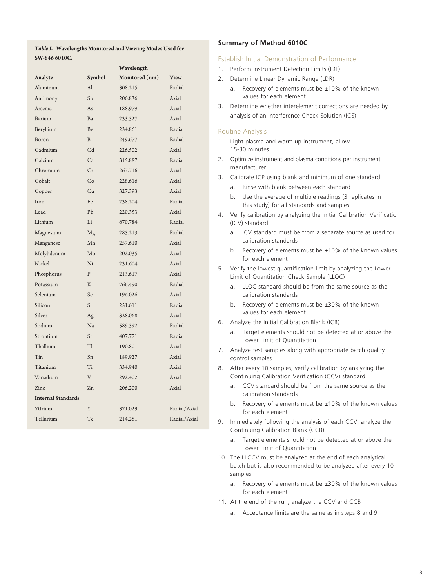*Table I.* **Wavelengths Monitored and Viewing Modes Used for SW-846 6010C.**

|                           |                | Wavelength     |              |
|---------------------------|----------------|----------------|--------------|
| Analyte                   | Symbol         | Monitored (nm) | <b>View</b>  |
| Aluminum                  | Al             | 308.215        | Radial       |
| Antimony                  | Sb             | 206.836        | Axial        |
| Arsenic                   | As             | 188.979        | Axial        |
| Barium                    | Ba             | 233.527        | Axial        |
| Beryllium                 | Be             | 234.861        | Radial       |
| Boron                     | $\overline{B}$ | 249.677        | Radial       |
| Cadmium                   | C <sub>d</sub> | 226.502        | Axial        |
| Calcium                   | Ca             | 315.887        | Radial       |
| Chromium                  | Cr             | 267.716        | Axial        |
| Cobalt                    | Co             | 228.616        | Axial        |
| Copper                    | Cu             | 327.393        | Axial        |
| Iron                      | Fe             | 238.204        | Radial       |
| Lead                      | Pb             | 220.353        | Axial        |
| Lithium                   | Li             | 670.784        | Radial       |
| Magnesium                 | Mg             | 285.213        | Radial       |
| Manganese                 | Mn             | 257.610        | Axial        |
| Molybdenum                | $M_0$          | 202.035        | Axial        |
| Nickel                    | Ni             | 231.604        | Axial        |
| Phosphorus                | $\mathbf{P}$   | 213.617        | Axial        |
| Potassium                 | K              | 766.490        | Radial       |
| Selenium                  | Se             | 196.026        | Axial        |
| Silicon                   | Si             | 251.611        | Radial       |
| Silver                    | Ag             | 328.068        | Axial        |
| Sodium                    | Na             | 589.592        | Radial       |
| Strontium                 | Sr             | 407.771        | Radial       |
| Thallium                  | T1             | 190.801        | Axial        |
| Tin                       | Sn             | 189.927        | Axial        |
| Titanium                  | Ti             | 334.940        | Axial        |
| Vanadium                  | V              | 292.402        | Axial        |
| Zinc                      | Zn             | 206.200        | Axial        |
| <b>Internal Standards</b> |                |                |              |
| Yttrium                   | Y              | 371.029        | Radial/Axial |
| Tellurium                 | Te             | 214.281        | Radial/Axial |
|                           |                |                |              |

#### **Summary of Method 6010C**

#### Establish Initial Demonstration of Performance

- 1. Perform Instrument Detection Limits (IDL)
- 2. Determine Linear Dynamic Range (LDR)
	- a. Recovery of elements must be  $\pm 10\%$  of the known values for each element
- 3. Determine whether interelement corrections are needed by analysis of an Interference Check Solution (ICS)

#### Routine Analysis

- 1. Light plasma and warm up instrument, allow 15-30 minutes
- 2. Optimize instrument and plasma conditions per instrument manufacturer
- 3. Calibrate ICP using blank and minimum of one standard
	- a. Rinse with blank between each standard
	- b. Use the average of multiple readings (3 replicates in this study) for all standards and samples
- 4. Verify calibration by analyzing the Initial Calibration Verification (ICV) standard
	- a. ICV standard must be from a separate source as used for calibration standards
	- b. Recovery of elements must be ±10% of the known values for each element
- 5. Verify the lowest quantification limit by analyzing the Lower Limit of Quantitation Check Sample (LLQC)
	- a. LLQC standard should be from the same source as the calibration standards
	- b. Recovery of elements must be ±30% of the known values for each element
- 6. Analyze the Initial Calibration Blank (ICB)
	- a. Target elements should not be detected at or above the Lower Limit of Quantitation
- 7. Analyze test samples along with appropriate batch quality control samples
- 8. After every 10 samples, verify calibration by analyzing the Continuing Calibration Verification (CCV) standard
	- a. CCV standard should be from the same source as the calibration standards
	- b. Recovery of elements must be  $\pm 10\%$  of the known values for each element
- 9. Immediately following the analysis of each CCV, analyze the Continuing Calibration Blank (CCB)
	- a. Target elements should not be detected at or above the Lower Limit of Quantitation
- 10. The LLCCV must be analyzed at the end of each analytical batch but is also recommended to be analyzed after every 10 samples
	- a. Recovery of elements must be  $\pm 30\%$  of the known values for each element
- 11. At the end of the run, analyze the CCV and CCB
	- a. Acceptance limits are the same as in steps 8 and 9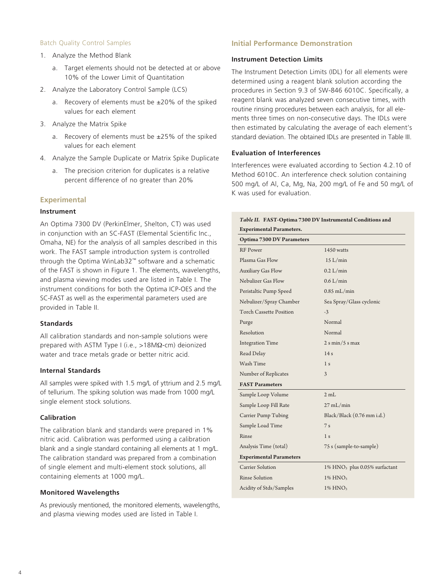#### Batch Quality Control Samples

- 1. Analyze the Method Blank
	- a. Target elements should not be detected at or above 10% of the Lower Limit of Quantitation
- 2. Analyze the Laboratory Control Sample (LCS)
	- a. Recovery of elements must be  $\pm 20\%$  of the spiked values for each element
- 3. Analyze the Matrix Spike
	- a. Recovery of elements must be  $\pm 25\%$  of the spiked values for each element
- 4. Analyze the Sample Duplicate or Matrix Spike Duplicate
	- a. The precision criterion for duplicates is a relative percent difference of no greater than 20%

#### **Experimental**

#### **Instrument**

An Optima 7300 DV (PerkinElmer, Shelton, CT) was used in conjunction with an SC-FAST (Elemental Scientific Inc., Omaha, NE) for the analysis of all samples described in this work. The FAST sample introduction system is controlled through the Optima WinLab32™ software and a schematic of the FAST is shown in Figure 1. The elements, wavelengths, and plasma viewing modes used are listed in Table I. The instrument conditions for both the Optima ICP-OES and the SC-FAST as well as the experimental parameters used are provided in Table II.

#### **Standards**

All calibration standards and non-sample solutions were prepared with ASTM Type I (i.e., >18MΩ-cm) deionized water and trace metals grade or better nitric acid.

#### **Internal Standards**

All samples were spiked with 1.5 mg/L of yttrium and 2.5 mg/L of tellurium. The spiking solution was made from 1000 mg/L single element stock solutions.

#### **Calibration**

The calibration blank and standards were prepared in 1% nitric acid. Calibration was performed using a calibration blank and a single standard containing all elements at 1 mg/L. The calibration standard was prepared from a combination of single element and multi-element stock solutions, all containing elements at 1000 mg/L.

#### **Monitored Wavelengths**

As previously mentioned, the monitored elements, wavelengths, and plasma viewing modes used are listed in Table I.

#### **Initial Performance Demonstration**

#### **Instrument Detection Limits**

The Instrument Detection Limits (IDL) for all elements were determined using a reagent blank solution according the procedures in Section 9.3 of SW-846 6010C. Specifically, a reagent blank was analyzed seven consecutive times, with routine rinsing procedures between each analysis, for all elements three times on non-consecutive days. The IDLs were then estimated by calculating the average of each element's standard deviation. The obtained IDLs are presented in Table III.

#### **Evaluation of Interferences**

Interferences were evaluated according to Section 4.2.10 of Method 6010C. An interference check solution containing 500 mg/L of Al, Ca, Mg, Na, 200 mg/L of Fe and 50 mg/L of K was used for evaluation.

|                                 | Table II. FAST-Optima 7300 DV Instrumental Conditions and |
|---------------------------------|-----------------------------------------------------------|
| <b>Experimental Parameters.</b> |                                                           |
| Optima 7300 DV Parameters       |                                                           |
| <b>RF</b> Power                 | 1450 watts                                                |
| Plasma Gas Flow                 | 15 L/min                                                  |
| <b>Auxiliary Gas Flow</b>       | $0.2$ L/min                                               |
| Nebulizer Gas Flow              | $0.6$ L/min                                               |
| Peristaltic Pump Speed          | $0.85$ mL/min                                             |
| Nebulizer/Spray Chamber         | Sea Spray/Glass cyclonic                                  |
| <b>Torch Cassette Position</b>  | $-3$                                                      |
| Purge                           | Normal                                                    |
| Resolution                      | Normal                                                    |
| <b>Integration Time</b>         | $2 \sinh/5$ s max                                         |
| Read Delay                      | 14s                                                       |
| Wash Time                       | 1 <sub>s</sub>                                            |
| Number of Replicates            | 3                                                         |
| <b>FAST Parameters</b>          |                                                           |
| Sample Loop Volume              | 2mL                                                       |
| Sample Loop Fill Rate           | $27 \text{ mL/min}$                                       |
| Carrier Pump Tubing             | Black/Black (0.76 mm i.d.)                                |
| Sample Load Time                | 7s                                                        |
| Rinse                           | 1 <sub>s</sub>                                            |
| Analysis Time (total)           | 75 s (sample-to-sample)                                   |
| <b>Experimental Parameters</b>  |                                                           |
| Carrier Solution                | 1% HNO <sub>3</sub> plus 0.05% surfactant                 |
| <b>Rinse Solution</b>           | $1\%$ HNO <sub>3</sub>                                    |
| Acidity of Stds/Samples         | $1\%$ HNO <sub>3</sub>                                    |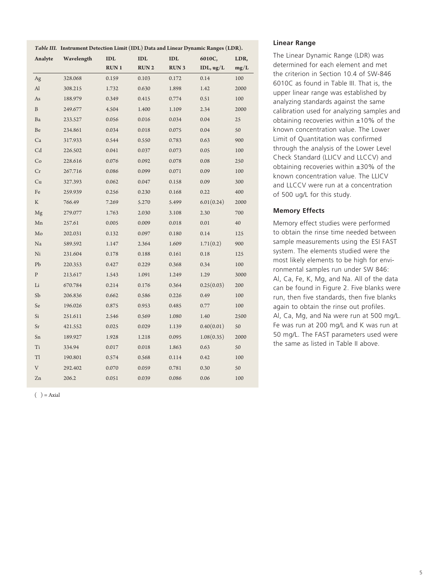|                | Table III. Instrument Detection Limit (IDL) Data and Linear Dynamic Ranges (LDR). |             |                |             |                    |      |
|----------------|-----------------------------------------------------------------------------------|-------------|----------------|-------------|--------------------|------|
| Analyte        | Wavelength                                                                        | <b>IDL</b>  | $\mathbf{IDI}$ | IDL         | 6010C,             | LDR, |
|                |                                                                                   | <b>RUN1</b> | <b>RUN2</b>    | <b>RUN3</b> | IDL, $\frac{u}{L}$ | mg/L |
| Ag             | 328.068                                                                           | 0.159       | 0.103          | 0.172       | 0.14               | 100  |
| Al             | 308.215                                                                           | 1.732       | 0.630          | 1.898       | 1.42               | 2000 |
| As             | 188.979                                                                           | 0.349       | 0.415          | 0.774       | 0.51               | 100  |
| $\, {\bf B}$   | 249.677                                                                           | 4.504       | 1.400          | 1.109       | 2.34               | 2000 |
| Ba             | 233.527                                                                           | 0.056       | 0.016          | 0.034       | 0.04               | 25   |
| Be             | 234.861                                                                           | 0.034       | 0.018          | 0.075       | 0.04               | 50   |
| Ca             | 317.933                                                                           | 0.544       | 0.550          | 0.783       | 0.63               | 900  |
| C <sub>d</sub> | 226.502                                                                           | 0.041       | 0.037          | 0.073       | 0.05               | 100  |
| Co             | 228.616                                                                           | 0.076       | 0.092          | 0.078       | 0.08               | 250  |
| Cr             | 267.716                                                                           | 0.086       | 0.099          | 0.071       | 0.09               | 100  |
| Cu             | 327.393                                                                           | 0.062       | 0.047          | 0.158       | 0.09               | 300  |
| Fe             | 259.939                                                                           | 0.256       | 0.230          | 0.168       | 0.22               | 400  |
| K              | 766.49                                                                            | 7.269       | 5.270          | 5.499       | 6.01(0.24)         | 2000 |
| Mg             | 279.077                                                                           | 1.763       | 2.030          | 3.108       | 2.30               | 700  |
| Mn             | 257.61                                                                            | 0.005       | 0.009          | 0.018       | 0.01               | 40   |
| Mo             | 202.031                                                                           | 0.132       | 0.097          | 0.180       | 0.14               | 125  |
| Na             | 589.592                                                                           | 1.147       | 2.364          | 1.609       | 1.71(0.2)          | 900  |
| Ni             | 231.604                                                                           | 0.178       | 0.188          | 0.161       | 0.18               | 125  |
| P <sub>b</sub> | 220.353                                                                           | 0.427       | 0.229          | 0.368       | 0.34               | 100  |
| ${\bf P}$      | 213.617                                                                           | 1.543       | 1.091          | 1.249       | 1.29               | 3000 |
| Li             | 670.784                                                                           | 0.214       | 0.176          | 0.364       | 0.25(0.03)         | 200  |
| Sb             | 206.836                                                                           | 0.662       | 0.586          | 0.226       | 0.49               | 100  |
| Se             | 196.026                                                                           | 0.875       | 0.953          | 0.485       | 0.77               | 100  |
| Si             | 251.611                                                                           | 2.546       | 0.569          | 1.080       | 1.40               | 2500 |
| Sr             | 421.552                                                                           | 0.025       | 0.029          | 1.139       | 0.40(0.01)         | 50   |
| Sn             | 189.927                                                                           | 1.928       | 1.218          | 0.095       | 1.08(0.35)         | 2000 |
| Ti             | 334.94                                                                            | 0.017       | 0.018          | 1.863       | 0.63               | 50   |
| Tl             | 190.801                                                                           | 0.574       | 0.568          | 0.114       | 0.42               | 100  |
| V              | 292.402                                                                           | 0.070       | 0.059          | 0.781       | 0.30               | 50   |
| Zn             | 206.2                                                                             | 0.051       | 0.039          | 0.086       | 0.06               | 100  |

 $( ) = A$ xial

#### **Linear Range**

The Linear Dynamic Range (LDR) was determined for each element and met the criterion in Section 10.4 of SW-846 6010C as found in Table III. That is, the upper linear range was established by analyzing standards against the same calibration used for analyzing samples and obtaining recoveries within  $±10\%$  of the known concentration value. The Lower Limit of Quantitation was confirmed through the analysis of the Lower Level Check Standard (LLICV and LLCCV) and obtaining recoveries within ±30% of the known concentration value. The LLICV and LLCCV were run at a concentration of 500 ug/L for this study.

### **Memory Effects**

Memory effect studies were performed to obtain the rinse time needed between sample measurements using the ESI FAST system. The elements studied were the most likely elements to be high for environmental samples run under SW 846: Al, Ca, Fe, K, Mg, and Na. All of the data can be found in Figure 2. Five blanks were run, then five standards, then five blanks again to obtain the rinse out profiles. Al, Ca, Mg, and Na were run at 500 mg/L. Fe was run at 200 mg/L and K was run at 50 mg/L. The FAST parameters used were the same as listed in Table II above.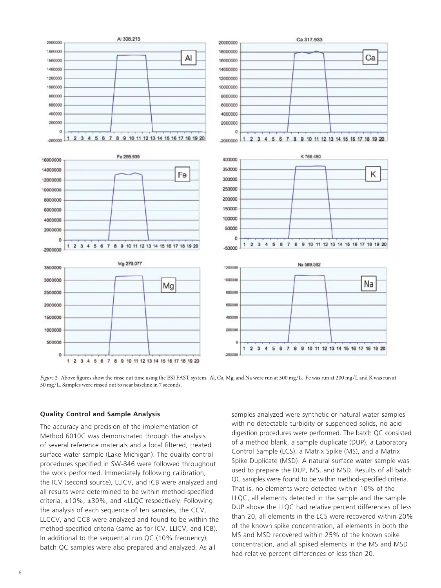

*Figure 2.* Above figures show the rinse out time using the ESI FAST system. Al, Ca, Mg, and Na were run at 500 mg/L. Fe was run at 200 mg/L and K was run at 50 mg/L. Samples were rinsed out to near baseline in 7 seconds.

#### **Quality Control and Sample Analysis**

The accuracy and precision of the implementation of Method 6010C was demonstrated through the analysis of several reference materials and a local filtered, treated surface water sample (Lake Michigan). The quality control procedures specified in SW-846 were followed throughout the work performed. Immediately following calibration, the ICV (second source), LLICV, and ICB were analyzed and all results were determined to be within method-specified criteria, ±10%, ±30%, and <LLQC respectively. Following the analysis of each sequence of ten samples, the CCV, LLCCV, and CCB were analyzed and found to be within the method-specified criteria (same as for ICV, LLICV, and ICB). In additional to the sequential run QC (10% frequency), batch QC samples were also prepared and analyzed. As all

samples analyzed were synthetic or natural water samples with no detectable turbidity or suspended solids, no acid digestion procedures were performed. The batch QC consisted of a method blank, a sample duplicate (DUP), a Laboratory Control Sample (LCS), a Matrix Spike (MS), and a Matrix Spike Duplicate (MSD). A natural surface water sample was used to prepare the DUP, MS, and MSD. Results of all batch QC samples were found to be within method-specified criteria. That is, no elements were detected within 10% of the LLQC, all elements detected in the sample and the sample DUP above the LLQC had relative percent differences of less than 20, all elements in the LCS were recovered within 20% of the known spike concentration, all elements in both the MS and MSD recovered within 25% of the known spike concentration, and all spiked elements in the MS and MSD had relative percent differences of less than 20.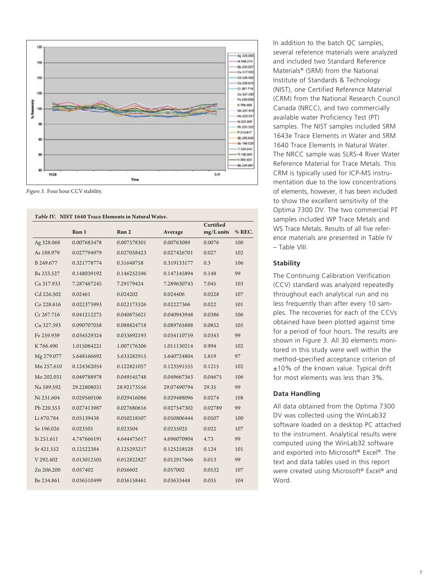

*Figure 3.* Four hour CCV stability.

|            | Run 1       | Certified   |             |              |        |
|------------|-------------|-------------|-------------|--------------|--------|
|            |             | Run 2       | Average     | $mg/L$ units | % REC. |
| Ag 328.068 | 0.007683478 | 0.007578301 | 0.00763089  | 0.0076       | 100    |
| As 188.979 | 0.027794979 | 0.027058423 | 0.027426701 | 0.027        | 102    |
| B 249.677  | 0.321778774 | 0.31648758  | 0.319133177 | 0.3          | 106    |
| Ba 233.527 | 0.148039192 | 0.146252596 | 0.147145894 | 0.148        | 99     |
| Ca 317.933 | 7.287467245 | 7.29179424  | 7.289630743 | 7.045        | 103    |
| Cd 226.502 | 0.02461     | 0.024202    | 0.024406    | 0.0228       | 107    |
| Co 228.616 | 0.022373993 | 0.022173326 | 0.02227366  | 0.022        | 101    |
| Cr 267.716 | 0.041212275 | 0.040675621 | 0.040943948 | 0.0386       | 106    |
| Cu 327.393 | 0.090707058 | 0.088824718 | 0.089765888 | 0.0852       | 105    |
| Fe 259.939 | 0.034529324 | 0.033692193 | 0.034110759 | 0.0343       | 99     |
| K766.490   | 1.015084221 | 1.007176206 | 1.011130214 | 0.994        | 102    |
| Mg 279.077 | 5.648166692 | 5.633282915 | 5.640724804 | 5.819        | 97     |
| Mn 257.610 | 0.124362054 | 0.122821057 | 0.123591555 | 0.1215       | 102    |
| Mo 202.031 | 0.049788978 | 0.049545748 | 0.049667363 | 0.04675      | 106    |
| Na 589.592 | 29.22808031 | 28.92173556 | 29.07490794 | 29.35        | 99     |
| Ni 231.604 | 0.029560106 | 0.029416086 | 0.029488096 | 0.0274       | 108    |
| Pb 220.353 | 0.027413987 | 0.027680616 | 0.027547302 | 0.02789      | 99     |
| Li 670.784 | 0.05139438  | 0.050218507 | 0.050806444 | 0.0507       | 100    |
| Se 196.026 | 0.023501    | 0.023504    | 0.0235025   | 0.022        | 107    |
| Si 251.611 | 4.747666191 | 4.644475617 | 4.696070904 | 4.73         | 99     |
| Sr 421.552 | 0.12522384  | 0.125293217 | 0.125258528 | 0.124        | 101    |
| V 292.402  | 0.013012505 | 0.012822827 | 0.012917666 | 0.013        | 99     |
| Zn 206.200 | 0.057402    | 0.056602    | 0.057002    | 0.0532       | 107    |
| Be 234.861 | 0.036510499 | 0.036158461 | 0.03633448  | 0.035        | 104    |
|            |             |             |             |              |        |

samples. The NIST samples included SRM 1643e Trace Elements in Water and SRM 1640 Trace Elements in Natural Water. The NRCC sample was SLRS-4 River Water Reference Material for Trace Metals. This CRM is typically used for ICP-MS instrumentation due to the low concentrations of elements, however, it has been included to show the excellent sensitivity of the Optima 7300 DV. The two commercial PT samples included WP Trace Metals and WS Trace Metals. Results of all five reference materials are presented in Table IV – Table VIII.

In addition to the batch QC samples, several reference materials were analyzed and included two Standard Reference Materials® (SRM) from the National Institute of Standards & Technology (NIST), one Certified Reference Material (CRM) from the National Research Council Canada (NRCC), and two commercially available water Proficiency Test (PT)

#### **Stability**

The Continuing Calibration Verification (CCV) standard was analyzed repeatedly throughout each analytical run and no less frequently than after every 10 samples. The recoveries for each of the CCVs obtained have been plotted against time for a period of four hours. The results are shown in Figure 3. All 30 elements monitored in this study were well within the method-specified acceptance criterion of ±10% of the known value. Typical drift for most elements was less than 3%.

#### **Data Handling**

All data obtained from the Optima 7300 DV was collected using the WinLab32 software loaded on a desktop PC attached to the instrument. Analytical results were computed using the WinLab32 software and exported into Microsoft® Excel®. The text and data tables used in this report were created using Microsoft® Excel® and Word.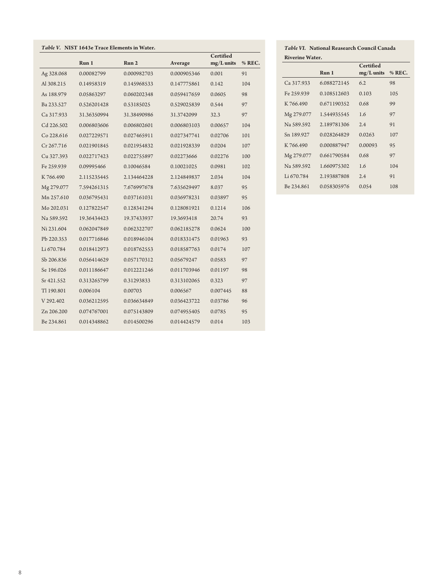| Table V. NIST 1643e Trace Elements in Water. |             |             |             |                           |        |  |
|----------------------------------------------|-------------|-------------|-------------|---------------------------|--------|--|
|                                              | Run 1       | Run 2       | Average     | Certified<br>$mg/L$ units | % REC. |  |
| Ag 328.068                                   | 0.00082799  | 0.000982703 | 0.000905346 | 0.001                     | 91     |  |
| Al 308.215                                   | 0.14958319  | 0.145968533 | 0.147775861 | 0.142                     | 104    |  |
| As 188.979                                   | 0.05863297  | 0.060202348 | 0.059417659 | 0.0605                    | 98     |  |
| Ba 233.527                                   | 0.526201428 | 0.53185025  | 0.529025839 | 0.544                     | 97     |  |
| Ca 317.933                                   | 31.36350994 | 31.38490986 | 31.3742099  | 32.3                      | 97     |  |
| Cd 226.502                                   | 0.006803606 | 0.006802601 | 0.006803103 | 0.00657                   | 104    |  |
| Co 228.616                                   | 0.027229571 | 0.027465911 | 0.027347741 | 0.02706                   | 101    |  |
| Cr 267.716                                   | 0.021901845 | 0.021954832 | 0.021928339 | 0.0204                    | 107    |  |
| Cu 327.393                                   | 0.022717423 | 0.022755897 | 0.02273666  | 0.02276                   | 100    |  |
| Fe 259.939                                   | 0.09995466  | 0.10046584  | 0.10021025  | 0.0981                    | 102    |  |
| K766.490                                     | 2.115235445 | 2.134464228 | 2.124849837 | 2.034                     | 104    |  |
| Mg 279.077                                   | 7.594261315 | 7.676997678 | 7.635629497 | 8.037                     | 95     |  |
| Mn 257.610                                   | 0.036795431 | 0.037161031 | 0.036978231 | 0.03897                   | 95     |  |
| Mo 202.031                                   | 0.127822547 | 0.128341294 | 0.128081921 | 0.1214                    | 106    |  |
| Na 589.592                                   | 19.36434423 | 19.37433937 | 19.3693418  | 20.74                     | 93     |  |
| Ni 231.604                                   | 0.062047849 | 0.062322707 | 0.062185278 | 0.0624                    | 100    |  |
| Pb 220.353                                   | 0.017716846 | 0.018946104 | 0.018331475 | 0.01963                   | 93     |  |
| Li 670.784                                   | 0.018412973 | 0.018762553 | 0.018587763 | 0.0174                    | 107    |  |
| Sb 206.836                                   | 0.056414629 | 0.057170312 | 0.05679247  | 0.0583                    | 97     |  |
| Se 196.026                                   | 0.011186647 | 0.012221246 | 0.011703946 | 0.01197                   | 98     |  |
| Sr 421.552                                   | 0.313265799 | 0.31293833  | 0.313102065 | 0.323                     | 97     |  |
| Tl 190.801                                   | 0.006104    | 0.00703     | 0.006567    | 0.007445                  | 88     |  |
| V 292.402                                    | 0.036212595 | 0.036634849 | 0.036423722 | 0.03786                   | 96     |  |
| Zn 206.200                                   | 0.074767001 | 0.075143809 | 0.074955405 | 0.0785                    | 95     |  |
| Be 234.861                                   | 0.014348862 | 0.014500296 | 0.014424579 | 0.014                     | 103    |  |

*Table VI.* **National Reasearch Council Canada Riverine Water.**

|            |             | <b>Certified</b> |          |
|------------|-------------|------------------|----------|
|            | Run 1       | $mg/L$ units     | $%$ REC. |
| Ca 317.933 | 6.088272145 | 6.2              | 98       |
| Fe 259.939 | 0.108512603 | 0.103            | 105      |
| K 766.490  | 0.671190352 | 0.68             | 99       |
| Mg 279.077 | 1.544935545 | 1.6              | 97       |
| Na 589.592 | 2.189781306 | 2.4              | 91       |
| Sn 189.927 | 0.028264829 | 0.0263           | 107      |
| K 766.490  | 0.000887947 | 0.00093          | 95       |
| Mg 279.077 | 0.661790584 | 0.68             | 97       |
| Na 589.592 | 1.660975302 | 1.6              | 104      |
| Li 670.784 | 2.193887808 | 2.4              | 91       |
| Be 234,861 | 0.058305976 | 0.054            | 108      |